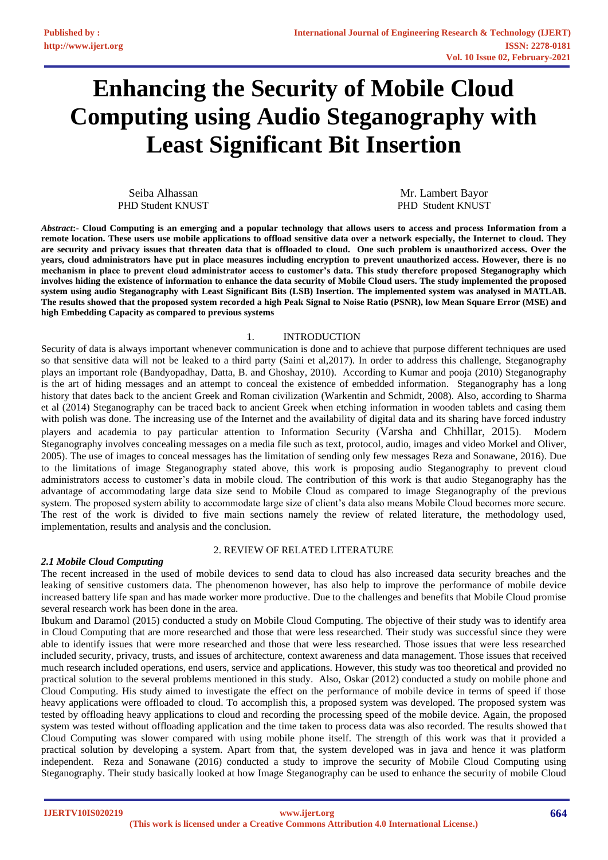# **Enhancing the Security of Mobile Cloud Computing using Audio Steganography with Least Significant Bit Insertion**

Seiba Alhassan PHD Student KNUST

Mr. Lambert Bayor PHD Student KNUST

*Abstract***:- Cloud Computing is an emerging and a popular technology that allows users to access and process Information from a remote location. These users use mobile applications to offload sensitive data over a network especially, the Internet to cloud. They are security and privacy issues that threaten data that is offloaded to cloud. One such problem is unauthorized access. Over the years, cloud administrators have put in place measures including encryption to prevent unauthorized access. However, there is no mechanism in place to prevent cloud administrator access to customer's data. This study therefore proposed Steganography which involves hiding the existence of information to enhance the data security of Mobile Cloud users. The study implemented the proposed system using audio Steganography with Least Significant Bits (LSB) Insertion. The implemented system was analysed in MATLAB. The results showed that the proposed system recorded a high Peak Signal to Noise Ratio (PSNR), low Mean Square Error (MSE) and high Embedding Capacity as compared to previous systems**

#### 1. INTRODUCTION

Security of data is always important whenever communication is done and to achieve that purpose different techniques are used so that sensitive data will not be leaked to a third party (Saini et al,2017). In order to address this challenge, Steganography plays an important role (Bandyopadhay, Datta, B. and Ghoshay, 2010). According to Kumar and pooja (2010) Steganography is the art of hiding messages and an attempt to conceal the existence of embedded information. Steganography has a long history that dates back to the ancient Greek and Roman civilization (Warkentin and Schmidt, 2008). Also, according to Sharma et al (2014) Steganography can be traced back to ancient Greek when etching information in wooden tablets and casing them with polish was done. The increasing use of the Internet and the availability of digital data and its sharing have forced industry players and academia to pay particular attention to Information Security (Varsha and Chhillar, 2015). Modern Steganography involves concealing messages on a media file such as text, protocol, audio, images and video Morkel and Oliver, 2005). The use of images to conceal messages has the limitation of sending only few messages Reza and Sonawane, 2016). Due to the limitations of image Steganography stated above, this work is proposing audio Steganography to prevent cloud administrators access to customer's data in mobile cloud. The contribution of this work is that audio Steganography has the advantage of accommodating large data size send to Mobile Cloud as compared to image Steganography of the previous system. The proposed system ability to accommodate large size of client's data also means Mobile Cloud becomes more secure. The rest of the work is divided to five main sections namely the review of related literature, the methodology used, implementation, results and analysis and the conclusion.

#### 2. REVIEW OF RELATED LITERATURE

#### *2.1 Mobile Cloud Computing*

The recent increased in the used of mobile devices to send data to cloud has also increased data security breaches and the leaking of sensitive customers data. The phenomenon however, has also help to improve the performance of mobile device increased battery life span and has made worker more productive. Due to the challenges and benefits that Mobile Cloud promise several research work has been done in the area.

Ibukum and Daramol (2015) conducted a study on Mobile Cloud Computing. The objective of their study was to identify area in Cloud Computing that are more researched and those that were less researched. Their study was successful since they were able to identify issues that were more researched and those that were less researched. Those issues that were less researched included security, privacy, trusts, and issues of architecture, context awareness and data management. Those issues that received much research included operations, end users, service and applications. However, this study was too theoretical and provided no practical solution to the several problems mentioned in this study. Also, Oskar (2012) conducted a study on mobile phone and Cloud Computing. His study aimed to investigate the effect on the performance of mobile device in terms of speed if those heavy applications were offloaded to cloud. To accomplish this, a proposed system was developed. The proposed system was tested by offloading heavy applications to cloud and recording the processing speed of the mobile device. Again, the proposed system was tested without offloading application and the time taken to process data was also recorded. The results showed that Cloud Computing was slower compared with using mobile phone itself. The strength of this work was that it provided a practical solution by developing a system. Apart from that, the system developed was in java and hence it was platform independent. Reza and Sonawane (2016) conducted a study to improve the security of Mobile Cloud Computing using Steganography. Their study basically looked at how Image Steganography can be used to enhance the security of mobile Cloud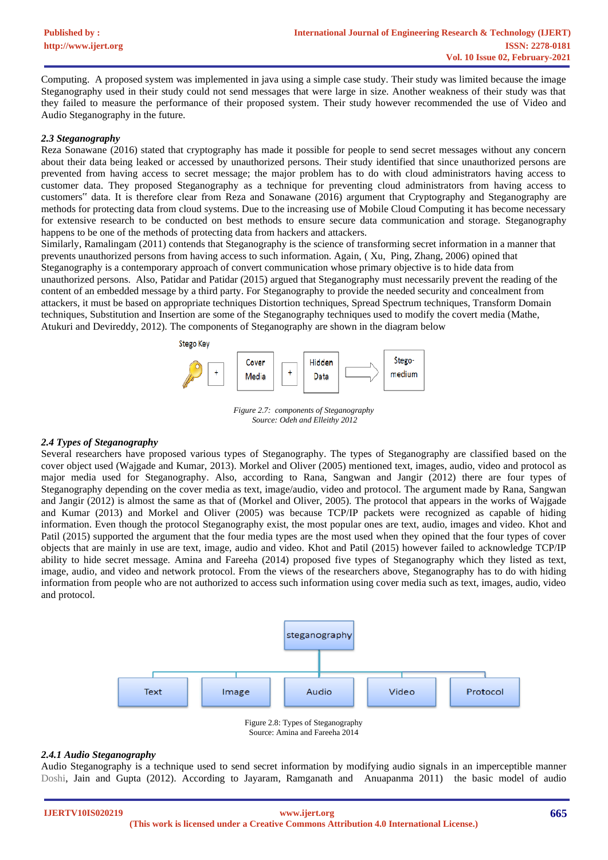Computing. A proposed system was implemented in java using a simple case study. Their study was limited because the image Steganography used in their study could not send messages that were large in size. Another weakness of their study was that they failed to measure the performance of their proposed system. Their study however recommended the use of Video and Audio Steganography in the future.

#### *2.3 Steganography*

Reza Sonawane (2016) stated that cryptography has made it possible for people to send secret messages without any concern about their data being leaked or accessed by unauthorized persons. Their study identified that since unauthorized persons are prevented from having access to secret message; the major problem has to do with cloud administrators having access to customer data. They proposed Steganography as a technique for preventing cloud administrators from having access to customers" data. It is therefore clear from Reza and Sonawane (2016) argument that Cryptography and Steganography are methods for protecting data from cloud systems. Due to the increasing use of Mobile Cloud Computing it has become necessary for extensive research to be conducted on best methods to ensure secure data communication and storage. Steganography happens to be one of the methods of protecting data from hackers and attackers.

Similarly, Ramalingam (2011) contends that Steganography is the science of transforming secret information in a manner that prevents unauthorized persons from having access to such information. Again, ( Xu, Ping, Zhang, 2006) opined that Steganography is a contemporary approach of convert communication whose primary objective is to hide data from unauthorized persons. Also, Patidar and Patidar (2015) argued that Steganography must necessarily prevent the reading of the content of an embedded message by a third party. For Steganography to provide the needed security and concealment from attackers, it must be based on appropriate techniques Distortion techniques, Spread Spectrum techniques, Transform Domain techniques, Substitution and Insertion are some of the Steganography techniques used to modify the covert media (Mathe, Atukuri and Devireddy, 2012). The components of Steganography are shown in the diagram below



*Figure 2.7: components of Steganography Source: Odeh and Elleithy 2012*

## *2.4 Types of Steganography*

Several researchers have proposed various types of Steganography. The types of Steganography are classified based on the cover object used (Wajgade and Kumar, 2013). Morkel and Oliver (2005) mentioned text, images, audio, video and protocol as major media used for Steganography. Also, according to Rana, Sangwan and Jangir (2012) there are four types of Steganography depending on the cover media as text, image/audio, video and protocol. The argument made by Rana, Sangwan and Jangir (2012) is almost the same as that of (Morkel and Oliver, 2005). The protocol that appears in the works of Wajgade and Kumar (2013) and Morkel and Oliver (2005) was because TCP/IP packets were recognized as capable of hiding information. Even though the protocol Steganography exist, the most popular ones are text, audio, images and video. Khot and Patil (2015) supported the argument that the four media types are the most used when they opined that the four types of cover objects that are mainly in use are text, image, audio and video. Khot and Patil (2015) however failed to acknowledge TCP/IP ability to hide secret message. Amina and Fareeha (2014) proposed five types of Steganography which they listed as text, image, audio, and video and network protocol. From the views of the researchers above, Steganography has to do with hiding information from people who are not authorized to access such information using cover media such as text, images, audio, video and protocol.



Figure 2.8: Types of Steganography Source: Amina and Fareeha 2014

#### *2.4.1 Audio Steganography*

Audio Steganography is a technique used to send secret information by modifying audio signals in an imperceptible manner Doshi, Jain and Gupta (2012). According to Jayaram, Ramganath and Anuapanma 2011) the basic model of audio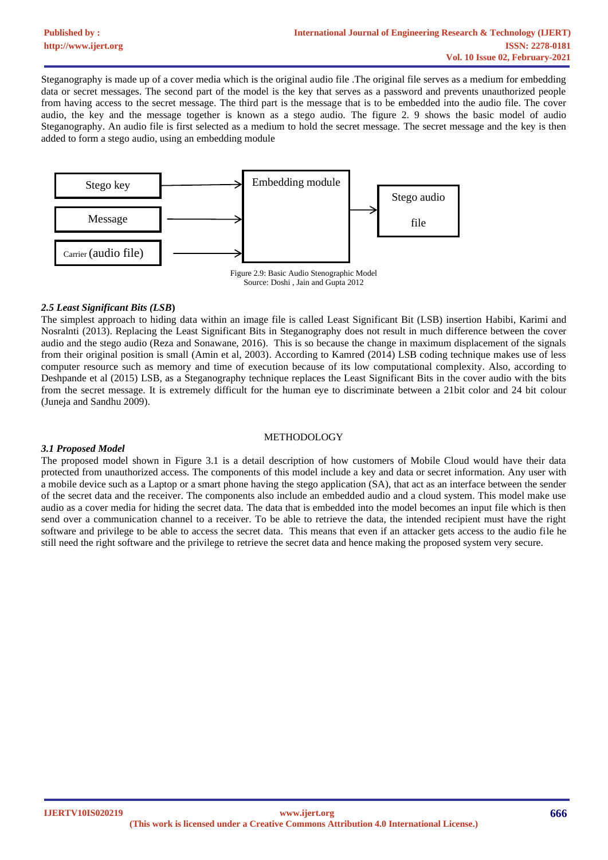Steganography is made up of a cover media which is the original audio file .The original file serves as a medium for embedding data or secret messages. The second part of the model is the key that serves as a password and prevents unauthorized people from having access to the secret message. The third part is the message that is to be embedded into the audio file. The cover audio, the key and the message together is known as a stego audio. The figure 2. 9 shows the basic model of audio Steganography. An audio file is first selected as a medium to hold the secret message. The secret message and the key is then added to form a stego audio, using an embedding module



# Source: Doshi , Jain and Gupta 2012

## *2.5 Least Significant Bits (LSB***)**

The simplest approach to hiding data within an image file is called Least Significant Bit (LSB) insertion Habibi, Karimi and Nosralnti (2013). Replacing the Least Significant Bits in Steganography does not result in much difference between the cover audio and the stego audio (Reza and Sonawane, 2016). This is so because the change in maximum displacement of the signals from their original position is small (Amin et al, 2003). According to Kamred (2014) LSB coding technique makes use of less computer resource such as memory and time of execution because of its low computational complexity. Also, according to Deshpande et al (2015) LSB, as a Steganography technique replaces the Least Significant Bits in the cover audio with the bits from the secret message. It is extremely difficult for the human eye to discriminate between a 21bit color and 24 bit colour (Juneja and Sandhu 2009).

#### METHODOLOGY

# *3.1 Proposed Model*

The proposed model shown in Figure 3.1 is a detail description of how customers of Mobile Cloud would have their data protected from unauthorized access. The components of this model include a key and data or secret information. Any user with a mobile device such as a Laptop or a smart phone having the stego application (SA), that act as an interface between the sender of the secret data and the receiver. The components also include an embedded audio and a cloud system. This model make use audio as a cover media for hiding the secret data. The data that is embedded into the model becomes an input file which is then send over a communication channel to a receiver. To be able to retrieve the data, the intended recipient must have the right software and privilege to be able to access the secret data. This means that even if an attacker gets access to the audio file he still need the right software and the privilege to retrieve the secret data and hence making the proposed system very secure.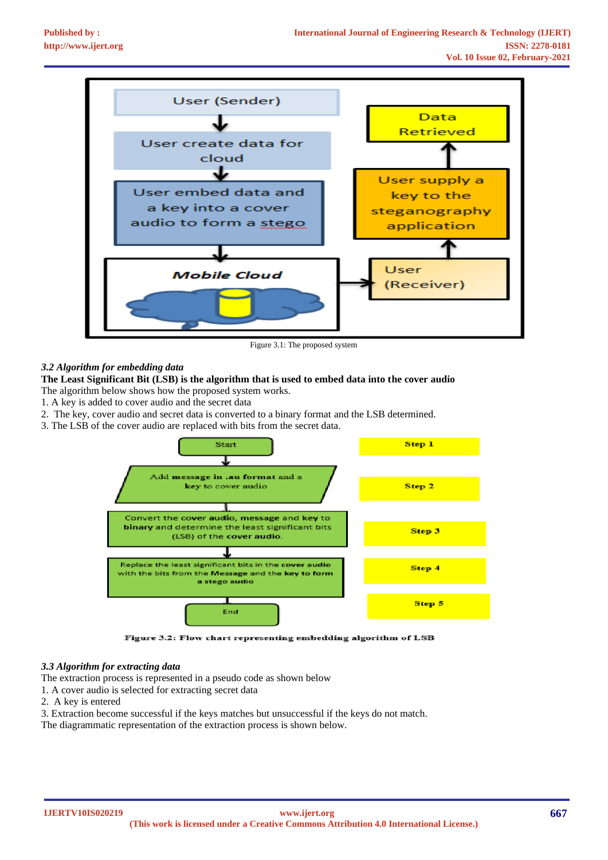

Figure 3.1: The proposed system

#### *3.2 Algorithm for embedding data*

#### **The Least Significant Bit (LSB) is the algorithm that is used to embed data into the cover audio**

The algorithm below shows how the proposed system works.

- 1. A key is added to cover audio and the secret data
- 2. The key, cover audio and secret data is converted to a binary format and the LSB determined.
- 3. The LSB of the cover audio are replaced with bits from the secret data.



Figure 3.2: Flow chart representing embedding algorithm of LSB

#### *3.3 Algorithm for extracting data*

The extraction process is represented in a pseudo code as shown below

- 1. A cover audio is selected for extracting secret data
- 2. A key is entered
- 3. Extraction become successful if the keys matches but unsuccessful if the keys do not match.
- The diagrammatic representation of the extraction process is shown below.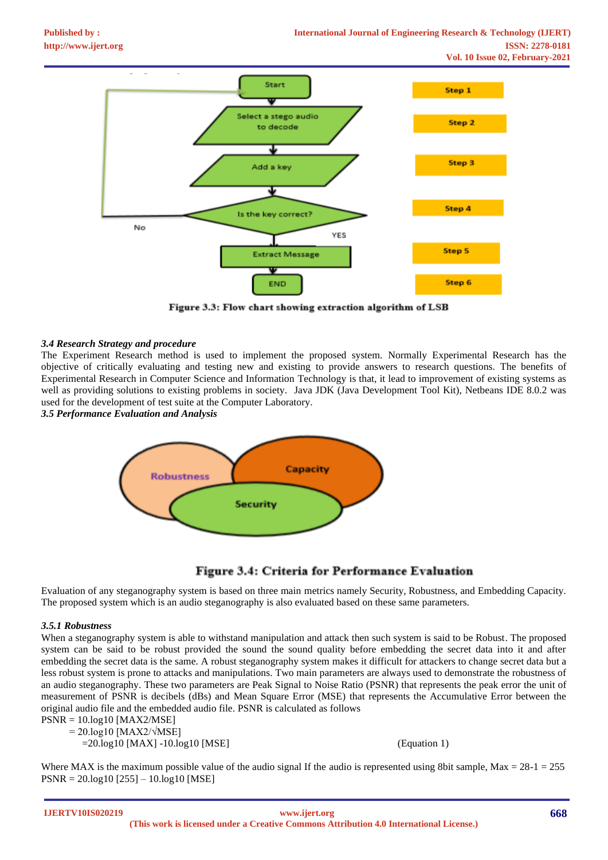

Figure 3.3: Flow chart showing extraction algorithm of LSB

#### *3.4 Research Strategy and procedure*

The Experiment Research method is used to implement the proposed system. Normally Experimental Research has the objective of critically evaluating and testing new and existing to provide answers to research questions. The benefits of Experimental Research in Computer Science and Information Technology is that, it lead to improvement of existing systems as well as providing solutions to existing problems in society. Java JDK (Java Development Tool Kit), Netbeans IDE 8.0.2 was used for the development of test suite at the Computer Laboratory.

*3.5 Performance Evaluation and Analysis*



# **Figure 3.4: Criteria for Performance Evaluation**

Evaluation of any steganography system is based on three main metrics namely Security, Robustness, and Embedding Capacity. The proposed system which is an audio steganography is also evaluated based on these same parameters.

#### *3.5.1 Robustness*

When a steganography system is able to withstand manipulation and attack then such system is said to be Robust. The proposed system can be said to be robust provided the sound the sound quality before embedding the secret data into it and after embedding the secret data is the same. A robust steganography system makes it difficult for attackers to change secret data but a less robust system is prone to attacks and manipulations. Two main parameters are always used to demonstrate the robustness of an audio steganography. These two parameters are Peak Signal to Noise Ratio (PSNR) that represents the peak error the unit of measurement of PSNR is decibels (dBs) and Mean Square Error (MSE) that represents the Accumulative Error between the original audio file and the embedded audio file. PSNR is calculated as follows

```
PSNR = 10.log10 [MAX2/MSE] 
= 20.log10 [MAX2/\sqrt{MSE}]
```
=20.log10 [MAX] -10.log10 [MSE] (Equation 1)

Where MAX is the maximum possible value of the audio signal If the audio is represented using 8bit sample, Max =  $28-1 = 255$ PSNR = 20.log10 [255] – 10.log10 [MSE]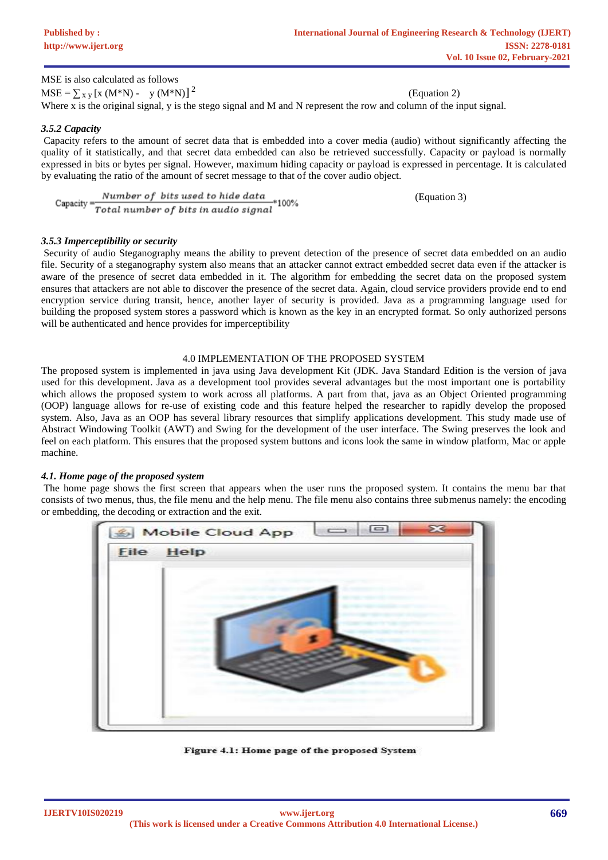(Equation 3)

| MSE is also calculated as follows        |  |                                                                                                                     |
|------------------------------------------|--|---------------------------------------------------------------------------------------------------------------------|
| $MSE = \sum_{x} y [x (M*N) - y (M*N)]^2$ |  | (Equation 2)                                                                                                        |
|                                          |  | Where x is the original signal, y is the stego signal and M and N represent the row and column of the input signal. |

#### *3.5.2 Capacity*

Capacity refers to the amount of secret data that is embedded into a cover media (audio) without significantly affecting the quality of it statistically, and that secret data embedded can also be retrieved successfully. Capacity or payload is normally expressed in bits or bytes per signal. However, maximum hiding capacity or payload is expressed in percentage. It is calculated by evaluating the ratio of the amount of secret message to that of the cover audio object.

$$
\text{Capacity} = \frac{Number\ of\ bits\ used\ to\ hide\ data}{Total\ number\ of\ bits\ in\ audio\ signal} * 100\%
$$

#### *3.5.3 Imperceptibility or security*

Security of audio Steganography means the ability to prevent detection of the presence of secret data embedded on an audio file. Security of a steganography system also means that an attacker cannot extract embedded secret data even if the attacker is aware of the presence of secret data embedded in it. The algorithm for embedding the secret data on the proposed system ensures that attackers are not able to discover the presence of the secret data. Again, cloud service providers provide end to end encryption service during transit, hence, another layer of security is provided. Java as a programming language used for building the proposed system stores a password which is known as the key in an encrypted format. So only authorized persons will be authenticated and hence provides for imperceptibility

#### 4.0 IMPLEMENTATION OF THE PROPOSED SYSTEM

The proposed system is implemented in java using Java development Kit (JDK. Java Standard Edition is the version of java used for this development. Java as a development tool provides several advantages but the most important one is portability which allows the proposed system to work across all platforms. A part from that, java as an Object Oriented programming (OOP) language allows for re-use of existing code and this feature helped the researcher to rapidly develop the proposed system. Also, Java as an OOP has several library resources that simplify applications development. This study made use of Abstract Windowing Toolkit (AWT) and Swing for the development of the user interface. The Swing preserves the look and feel on each platform. This ensures that the proposed system buttons and icons look the same in window platform, Mac or apple machine.

#### *4.1. Home page of the proposed system*

The home page shows the first screen that appears when the user runs the proposed system. It contains the menu bar that consists of two menus, thus, the file menu and the help menu. The file menu also contains three submenus namely: the encoding or embedding, the decoding or extraction and the exit.



Figure 4.1: Home page of the proposed System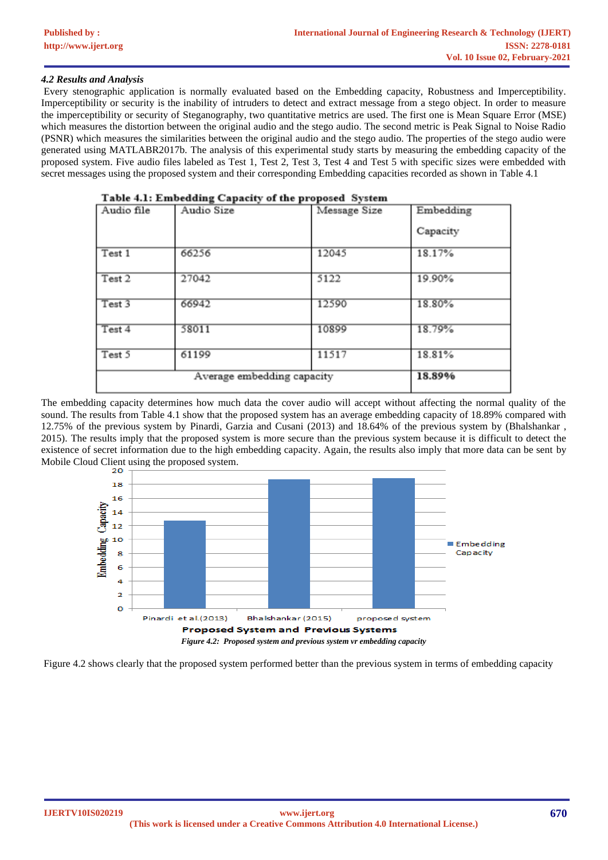### *4.2 Results and Analysis*

Every stenographic application is normally evaluated based on the Embedding capacity, Robustness and Imperceptibility. Imperceptibility or security is the inability of intruders to detect and extract message from a stego object. In order to measure the imperceptibility or security of Steganography, two quantitative metrics are used. The first one is Mean Square Error (MSE) which measures the distortion between the original audio and the stego audio. The second metric is Peak Signal to Noise Radio (PSNR) which measures the similarities between the original audio and the stego audio. The properties of the stego audio were generated using MATLABR2017b. The analysis of this experimental study starts by measuring the embedding capacity of the proposed system. Five audio files labeled as Test 1, Test 2, Test 3, Test 4 and Test 5 with specific sizes were embedded with secret messages using the proposed system and their corresponding Embedding capacities recorded as shown in Table 4.1

| Table 4.1: Embedding Capacity of the proposed System |                                     |              |           |  |  |
|------------------------------------------------------|-------------------------------------|--------------|-----------|--|--|
| Audio file                                           | Audio Size                          | Message Size | Embedding |  |  |
|                                                      |                                     |              | Capacity  |  |  |
| Test 1                                               | 66256                               | 12045        | 18.17%    |  |  |
| Test 2                                               | 27042                               | 5122         | 19.90%    |  |  |
| Test 3                                               | 66942                               | 12590        | 18.80%    |  |  |
| Test 4                                               | 58011                               | 10899        | 18.79%    |  |  |
| Test 5                                               | 61199<br>Average embedding capacity | 11517        | 18.81%    |  |  |
|                                                      | 18.89%                              |              |           |  |  |

The embedding capacity determines how much data the cover audio will accept without affecting the normal quality of the sound. The results from Table 4.1 show that the proposed system has an average embedding capacity of 18.89% compared with 12.75% of the previous system by Pinardi, Garzia and Cusani (2013) and 18.64% of the previous system by (Bhalshankar , 2015). The results imply that the proposed system is more secure than the previous system because it is difficult to detect the existence of secret information due to the high embedding capacity. Again, the results also imply that more data can be sent by Mobile Cloud Client using the proposed system.



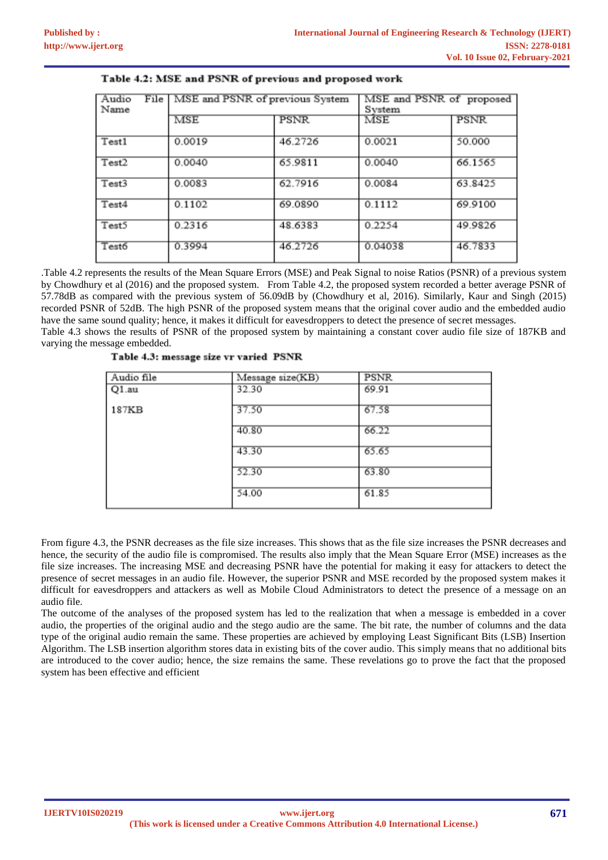| Audio<br>Name | File   MSE and PSNR of previous System |             | MSE and PSNR of proposed<br>System |             |  |
|---------------|----------------------------------------|-------------|------------------------------------|-------------|--|
|               | <b>MSE</b>                             | <b>PSNR</b> | MSE                                | <b>PSNR</b> |  |
| Test1         | 0.0019                                 | 46.2726     | 0.0021                             | 50.000      |  |
| Test2         | 0.0040                                 | 65.9811     | 0.0040                             | 66.1565     |  |
| Test3         | 0.0083                                 | 62.7916     | 0.0084                             | 63.8425     |  |
| Test4         | 0.1102                                 | 69.0890     | 0.1112                             | 69.9100     |  |
| Test5         | 0.2316                                 | 48.6383     | 0.2254                             | 49.9826     |  |
| Test6         | 0.3994                                 | 46.2726     | 0.04038                            | 46.7833     |  |

## Table 4.2: MSE and PSNR of previous and proposed work

.Table 4.2 represents the results of the Mean Square Errors (MSE) and Peak Signal to noise Ratios (PSNR) of a previous system by Chowdhury et al (2016) and the proposed system. From Table 4.2, the proposed system recorded a better average PSNR of 57.78dB as compared with the previous system of 56.09dB by (Chowdhury et al, 2016). Similarly, Kaur and Singh (2015) recorded PSNR of 52dB. The high PSNR of the proposed system means that the original cover audio and the embedded audio have the same sound quality; hence, it makes it difficult for eavesdroppers to detect the presence of secret messages. Table 4.3 shows the results of PSNR of the proposed system by maintaining a constant cover audio file size of 187KB and

varying the message embedded.

| Audio file | Message size(KB) | <b>PSNR</b> |
|------------|------------------|-------------|
| $Q1$ .au   | 32.30            | 69.91       |
| 187KB      | 37.50            | 67.58       |
|            | 40.80            | 66.22       |
|            | 43.30            | 65.65       |
|            | 52.30            | 63.80       |
|            | 54.00            | 61.85       |

| Table 4.3: message size vr varied PSNR |  |  |  |  |
|----------------------------------------|--|--|--|--|
|----------------------------------------|--|--|--|--|

From figure 4.3, the PSNR decreases as the file size increases. This shows that as the file size increases the PSNR decreases and hence, the security of the audio file is compromised. The results also imply that the Mean Square Error (MSE) increases as the file size increases. The increasing MSE and decreasing PSNR have the potential for making it easy for attackers to detect the presence of secret messages in an audio file. However, the superior PSNR and MSE recorded by the proposed system makes it difficult for eavesdroppers and attackers as well as Mobile Cloud Administrators to detect the presence of a message on an audio file.

The outcome of the analyses of the proposed system has led to the realization that when a message is embedded in a cover audio, the properties of the original audio and the stego audio are the same. The bit rate, the number of columns and the data type of the original audio remain the same. These properties are achieved by employing Least Significant Bits (LSB) Insertion Algorithm. The LSB insertion algorithm stores data in existing bits of the cover audio. This simply means that no additional bits are introduced to the cover audio; hence, the size remains the same. These revelations go to prove the fact that the proposed system has been effective and efficient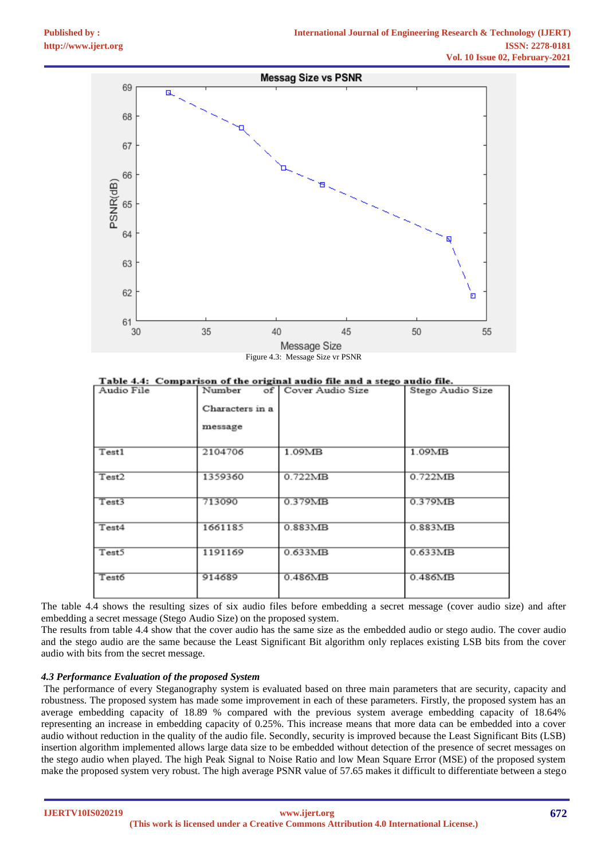

Figure 4.3: Message Size vr PSNR

| Table 4.4: Comparison of the original audio file and a stego audio file.         |  |  |  |  |
|----------------------------------------------------------------------------------|--|--|--|--|
| ,我们也不能会在这里,我们也不能会在这里,我们也不能会在这里,我们也不能会不能会不能会不能会。""我们,我们也不能会不能会不能会不能会不能会不能会不能会不能会不 |  |  |  |  |

| Audio File | Number          | of   Cover Audio Size | Stego Audio Size |
|------------|-----------------|-----------------------|------------------|
|            | Characters in a |                       |                  |
|            | message         |                       |                  |
| Test1      | 2104706         | 1.09MB                | $1.09M$ B        |
| Test2      | 1359360         | 0.722MB               | 0.722MB          |
| Test3      | 713090          | 0.379MB               | 0.379MB          |
| Test4      | 1661185         | 0.883MB               | 0.883MB          |
| Test5      | 1191169         | 0.633MB               | 0.633MB          |
| Test6      | 914689          | 0.486MB               | 0.486MB          |

The table 4.4 shows the resulting sizes of six audio files before embedding a secret message (cover audio size) and after embedding a secret message (Stego Audio Size) on the proposed system.

The results from table 4.4 show that the cover audio has the same size as the embedded audio or stego audio. The cover audio and the stego audio are the same because the Least Significant Bit algorithm only replaces existing LSB bits from the cover audio with bits from the secret message.

#### *4.3 Performance Evaluation of the proposed System*

The performance of every Steganography system is evaluated based on three main parameters that are security, capacity and robustness. The proposed system has made some improvement in each of these parameters. Firstly, the proposed system has an average embedding capacity of 18.89 % compared with the previous system average embedding capacity of 18.64% representing an increase in embedding capacity of 0.25%. This increase means that more data can be embedded into a cover audio without reduction in the quality of the audio file. Secondly, security is improved because the Least Significant Bits (LSB) insertion algorithm implemented allows large data size to be embedded without detection of the presence of secret messages on the stego audio when played. The high Peak Signal to Noise Ratio and low Mean Square Error (MSE) of the proposed system make the proposed system very robust. The high average PSNR value of 57.65 makes it difficult to differentiate between a stego